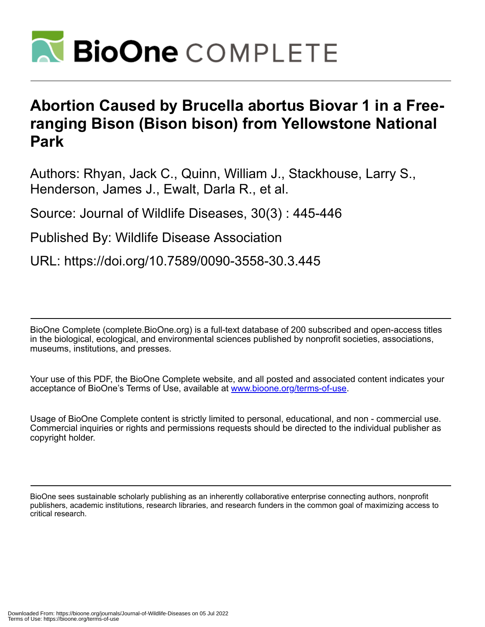

## **Abortion Caused by Brucella abortus Biovar 1 in a Freeranging Bison (Bison bison) from Yellowstone National Park**

Authors: Rhyan, Jack C., Quinn, William J., Stackhouse, Larry S., Henderson, James J., Ewalt, Darla R., et al.

Source: Journal of Wildlife Diseases, 30(3) : 445-446

Published By: Wildlife Disease Association

URL: https://doi.org/10.7589/0090-3558-30.3.445

BioOne Complete (complete.BioOne.org) is a full-text database of 200 subscribed and open-access titles in the biological, ecological, and environmental sciences published by nonprofit societies, associations, museums, institutions, and presses.

Your use of this PDF, the BioOne Complete website, and all posted and associated content indicates your acceptance of BioOne's Terms of Use, available at www.bioone.org/terms-of-use.

Usage of BioOne Complete content is strictly limited to personal, educational, and non - commercial use. Commercial inquiries or rights and permissions requests should be directed to the individual publisher as copyright holder.

BioOne sees sustainable scholarly publishing as an inherently collaborative enterprise connecting authors, nonprofit publishers, academic institutions, research libraries, and research funders in the common goal of maximizing access to critical research.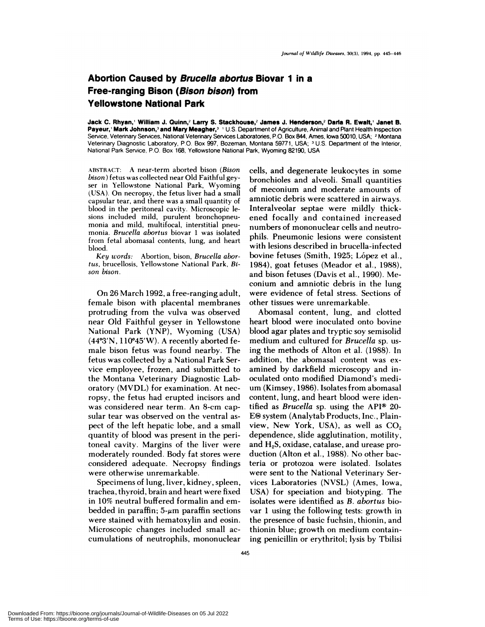## **Abortion Caused by Brucella abortus Biovar I in a Free-ranging Bison (Bison bison) from Yellowstone National Park**

**Jack C. Rhyan,' William J. Quinn,2** Larry **S. Stackhouse,2 James J. Henderson,2 Dada R. Ewalt,' Janet B. Payeur, Mark Johnson,3 and Mary Meagher,3** 'U.S. Department **of** Agriculture, Animal and Plant Health Inspection Service, Veterinary Services, National Veterinary Services Laboratories, P.O. Box 844, Ames, Iowa 50010, USA; <sup>2</sup>Montana Veterinary Diagnostic Laboratory, P.O. Box 997, Bozeman, Montana 59771, USA; <sup>3</sup> U.S. Department of the Interior, National Park Service, P.O. Box 168, Yellowstone National Park, Wyoming 82190, USA

ABSTRACT: A near-term aborted bison *(Bison bison* ) fetus was collected near Old Faithful gey ser in Yellowstone National Park, Wyoming (USA). On necropsy, the fetus liver had a small capsular tear, and there was a small quantity of blood in the peritoneal cavity. Microscopic le sions included mild, purulent bronchopneu monia and mild, multifocal, interstitial pneu monia. *Brucella abortus* biovar 1 was isolated from fetal abomasal contents, lung, and heart blood.

*Key words:* Abortion, bison, *Brucella abortus,* brucellosis, Yellowstone National Park, *Bi* son bison.

On 26 March 1992, a free-ranging adult, female bison with placental membranes protruding from the vulva was observed near Old Faithful geyser in Yellowstone National Park (YNP), Wyoming (USA)  $(44°3'N, 110°45'W)$ . A recently aborted female bison fetus was found nearby. The fetus was collected by a National Park Service employee, frozen, and submitted to the Montana Veterinary Diagnostic Laboratory (MVDL) for examination. At necropsy, the fetus had erupted incisors and was considered near term. An 8-cm capsular tear was observed on the ventral as pect of the left hepatic lobe, and a small quantity of blood was present in the pentoneal cavity. Margins of the liver were moderately rounded. Body fat stores were considered adequate. Necropsy findings were otherwise unremarkable.

Specimens of lung, liven, kidney, spleen, trachea, thyroid, brain and heart were fixed in 10% neutral buffered formalin and em bedded in paraffin;  $5-\mu m$  paraffin sections were stained with hematoxylin and eosin. Microscopic changes included small ac cum ulations of neutrophils, mononuclear cells, and degenerate leukocytes in some bronchioles and alveoli. Small quantities of meconium and moderate amounts of amniotic debris were scattered in airways. Interalveolar septae were mildly thickened focally and contained increased numbers of mononuclear cells and neutrophils. Pneumonic lesions were consistent with lesions described in brucella-infected bovine fetuses (Smith, 1925; López et al., 1984), goat fetuses (Meador et al., 1988), and bison fetuses (Davis et a!., 1990). Meconium and amniotic debris in the lung were evidence of fetal stress. Sections of other tissues were unremarkable.

Abomasal content, lung, and clotted heart blood were inoculated onto bovine blood agar plates and tryptic soy semisolid medium and cultured for *Brucella* sp. using the methods of Alton et al. (1988). In addition, the abomasal content was ex amined by darkfield microscopy and inoculated onto modified Diamond's medi um (Kimsey, 1986). Isolates from abomasal content, lung, and heart blood were identified as *Brucella* sp. using the API<sup>®</sup> 20- $E<sup>®</sup>$  system (Analytab Products, Inc., Plainview, New York, USA), as well as  $CO<sub>2</sub>$ dependence, slide agglutination, motility, and H<sub>2</sub>S, oxidase, catalase, and urease production (Alton et al., 1988). No other bacteria on protozoa were isolated. Isolates were sent to the National Veterinary Services Laboratories (NVSL) (Ames, iowa, USA) for speciation and biotyping. The isolates were identified as *B. abortus* bio var 1 using the following tests: growth in the presence of basic fuchsin, thionin, and thionin blue; growth on medium containing penicillin or erythritol; lysis by Tbilisi

Downloaded From: https://bioone.org/journals/Journal-of-Wildlife-Diseases on 05 Jul 2022 Terms of Use: https://bioone.org/terms-of-use